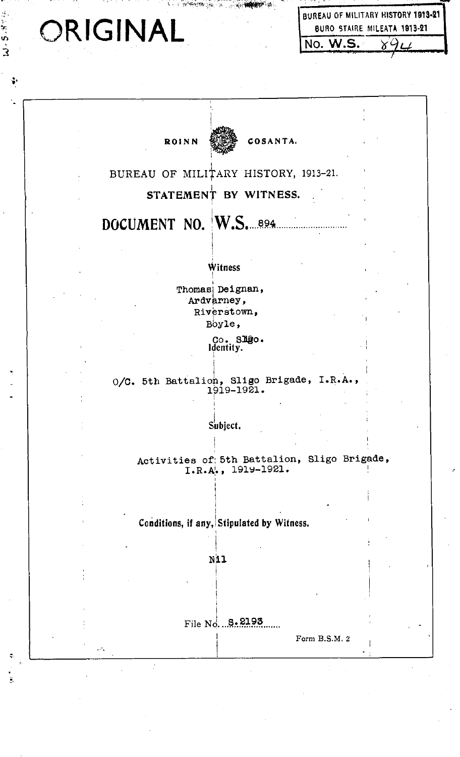|  | ORIGINAL |  |  |
|--|----------|--|--|
|  |          |  |  |

X,

Ŷ,

**RO** ish

J.

-11,

**W-5-8-9-4** 

 $\ddot{\ddot{\cdot}}$ 

 $\ddot{\tilde{e}}$ 

| BUREAU OF MILITARY HISTORY 1913-21 |                             |  |
|------------------------------------|-----------------------------|--|
|                                    | BURO STAIRE MILEATA 1913-21 |  |
| <b>INO. W.S.</b>                   |                             |  |

| COSANTA.<br><b>ROINN</b>                                          |  |
|-------------------------------------------------------------------|--|
| BUREAU OF MILITARY HISTORY, 1913-21.                              |  |
| STATEMENT BY WITNESS.                                             |  |
| DOCUMENT NO. W.S. 894                                             |  |
| Witness                                                           |  |
| Thomas Deignan,                                                   |  |
| Ardvarney,<br>Riverstown,                                         |  |
| Boyle,                                                            |  |
| Co. Slgo.<br>Identity.                                            |  |
| O/C. 5th Battalion, Sligo Brigade, I.R.A.,<br>1919-1921.          |  |
| Subject.                                                          |  |
| Activities of 5th Battalion, Sligo Brigade,<br>I.R.A., 1919-1921. |  |
|                                                                   |  |
| Conditions, if any, Stipulated by Witness.                        |  |
| Nil                                                               |  |
|                                                                   |  |
|                                                                   |  |
| File No.  8.2193                                                  |  |
| Form B.S.M. 2<br>$\mathcal{O}(\mathcal{C})$                       |  |

 $\hat{\mathcal{A}}$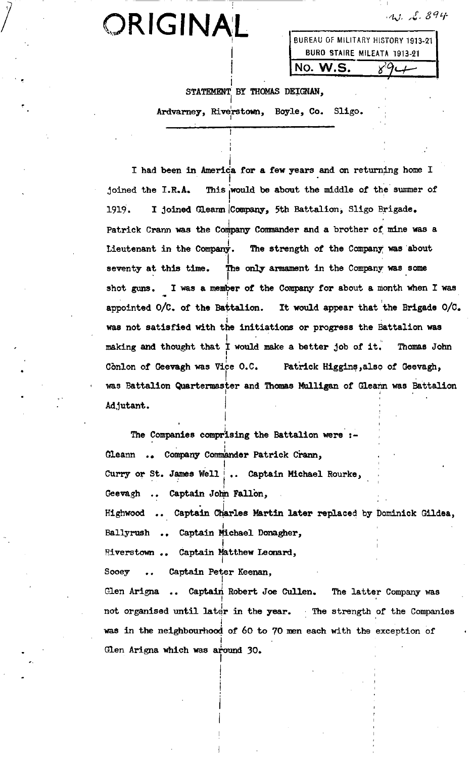$W. L. 894$ 

## ORIGINAL

| BUREAU OF MILITARY HISTORY 1913-21 |  |  |  |
|------------------------------------|--|--|--|
| BURO STAIRE MILEATA 1913-21        |  |  |  |
| INO. W.S.                          |  |  |  |

**STATEMENT** STATEMENT BY THOMAS DEIGNAN.

**Ardvarney, Riverstown, Boyle, Co. Sligo.**

**I had been in America for a few years and on returning home I joined the I.R.A. This would be about the middle of the summer of 1919. I I** joined Gleann *Company*, 5th Battalion, Sligo Brigade. **Patrick Crann was the Company Commanderand a brother of mine was a Lieutenant in the Company. The strength of the Company was about seventy at this time. The only armament in the Company was some shot guns. I was a member of the Company for about a month when I was appointed 0/C. of the Battalion. It would appear that the Brigade 0/C. was not satisfied with the initiations or progress the Battalion was waking and thought that I would make a better job of it. Thomas John Conlon of Geevagh was Vie 0.C. Patrick Higgins, also of Geevagh, was Battalion Quartermaster and Thomas Mulligan of Gleann was Battalion Adjutant.**

**The Companies comprising the Battalion were:-** Gleann .. Company Commander Patrick Crann, **Curry or St. James Well Captain Michael Rourke, Geevagh Captain John Fallon, Highwood Captain Charles Martin later replaced by Dominick Gildea, Ballyrush Captain Michael Donagher, Riverstown Captain Matthew Leonard, Sooey Captain Peter Keenan, Glen Arigna Captahi Robert Joe Cullen. The latter Company was not organised until later in the year. The strength of the Companies was in the neinghbourhood of 60 to 70 men each with the exception of Glen Arigna which was around 30.**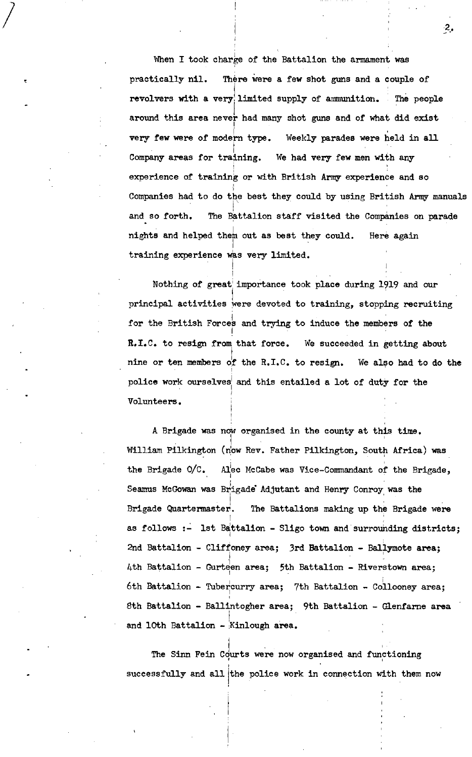**When I took charge of the Battalion the armament was practically nil. There were a few shot guns and a couple of revolvers with a very limited supply of ammunition. The people around this area never had many shot guns and of what did exist very few were of modern type. Weekly parades were held in an Company areas for training. We had very few men with any experience of training or with British Army experience and so Companies had to do the best they could by using British Army manuals and so forth. The Battalion staff visited the Companies on parade nights and helped then out as best they could. Here again training experience was very limited.**

**2.**

**Nothing of great importance took place during l9l9 and our principal activities were devoted to training, stopping recruiting for the British Force and trying to induce the members of the R.I.C. to resign from that force. We succeeded in getting about nine or ten members of the R.I.C. to resign. We also had to do the police work ourselves and this entailed <sup>a</sup> lot of duty for the Volunteers.**

**A Brigade was now organised in the county at this time. William Pilkington (now Rev. Father Pilkington, South Africa) was the Brigade 0/C. Alec McCabe was Vice-Commandant of the Brigade, Seamus McGowanwas Brigade Adjutant and Henry Conroy was the Brigade Quartermaster. The Battalions making up the Brigade were as follows:- 1st Battalion - Sligo town and surrounding districts; 2nd Battalion - Cliffoney area; 3rd Battalion - Ballymote area; 4th Battalion - Gurteen area; 5th Battalion - Riverstown area; 6th Battalion - Tubercurry area; 7th Battalion - Collooney area; 8th Battalion - Ballintogher area; 9th Battalion - Glenfarne area and 10th Battalion - Kinlough area.**

**The Sinn Fein Courts were now organised and functioning successfully and all the police work in connection with them now**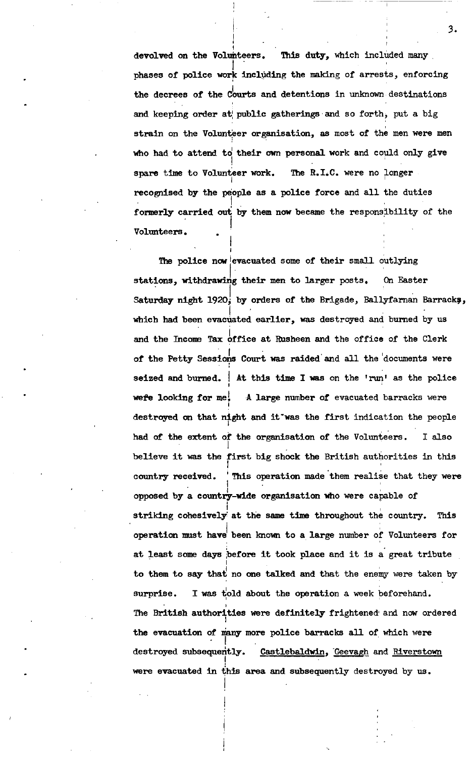**devolved on the Volunteers. This duty, which included many. phases of police work including the making of arrests, enforcing the decrees of the Courts and detentions in unknown destinations and keeping order at public gatherings and so forth, put a big strain on the Vo1unter organisation, as most of the men were men who had to attend td their own personal work and could only give spare time to Volunteer work. The R.I.C. were no Longer recognised by the people as a police force and all the duties formerly carried out by them now became the responsibility of the Volunteers.**

**The police now evacuated some of their small outlying stations, withdrawing their men to larger posts. On Easter Saturday night 1920, by orders of the Brigade, Ballyfarnan Barrack, which had been evacuated earlier, was destroyed and burned by us and the Income Tax office at Rusheen and the office of the Clerk of the Petty Sessions Court was raided and all the documents were seized and burned. At this tine I was on the 'run' as the police were looking for met A large number of evacuated barracks were destroyed on that night and it was the first indication the people had of the extent of the organization of the Volunteers. I also believe it was the big shock the British authorities in this first country received. This operation made them realise that they were opposed by a country-wide organisation who were capable of striking cohesively at the same time throughout the country. This operation must have been known to a large number of Volunteers for at least some days before it took place and it is a great tribute to them to say that no one talked and that the enemy were taken by surprise. I was to1d about the operation a week beforehand. The British authorities were definitely frightened and now ordered the evacuation of many more police barracks all of which were destroyed subsequently. Castlebaldwin, Geevagh and Riverstown were evacuated in this area and subsequently destroyed by us.**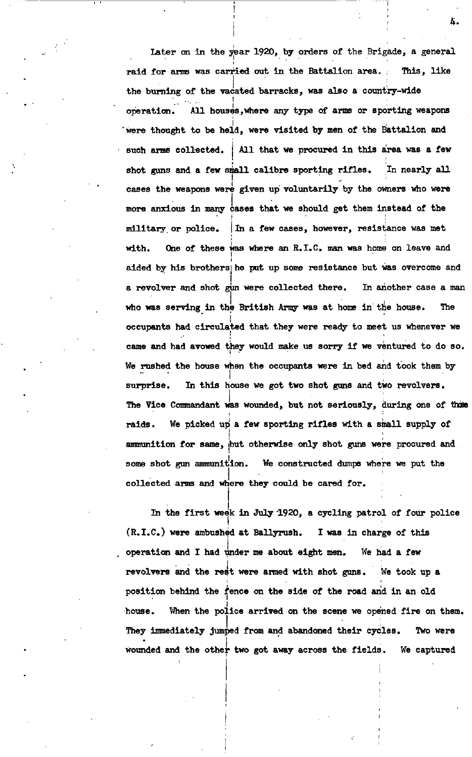**Later on in the year 1920, by orders of the Brigade, <sup>a</sup> general raid for arms was carried out in the Battalion area. This, like the burning of the vacated barracks, was also a country-wide operation. All houses, where any type of arms or sporting weapons were thought to be held, were visited by men of the Battalion and such arms collected. All that we procured in this area was a few shot guns and a few small calibre sporting rifles. In nearly all cases the weapons wez4 given up voluntarily by the owners who were more anxious in many cases that we should get them instead of the military or police. In a few cases, however, resistance was met with. One of these was where an R.I.C. man was home on leave and aided by his he put up some resistance but was overcome and a revolver and shot gun were collected there. In another case a man who was serving in the British Army was at home in the house. The occupants had circulated that they were ready to meet us whenever we came and had avowed they would make us sorry if we ventured to do so. We rushed the house when the occupants were in bed and took them by surprise. In this house we got two shot guns and two revolvers. The Vice Commandant was wounded, but not seriously, during one of those raids. We picked up a few sporting rifles with a snail supply of ammunition for same, but otherwise only shot guns were procured and some shot gun ammunition. We constructed dumps where we put the collected arms and where they could be cared for.**

**In the first week in July 1920, a cycling patrol of four police (R.I.C.) were ambushed at Ballyrush. I was in charge of this operation and I had under me about eight men. We had a few revolvers and the rest were armed with shot guns. We took up a position behind the fence on the side of the road and in an old house. When the police arrived on the scene we opened fire on them. They immediately jumped from and abandoned their cycles. Two were wounded and the other two got away across the fields. We captured**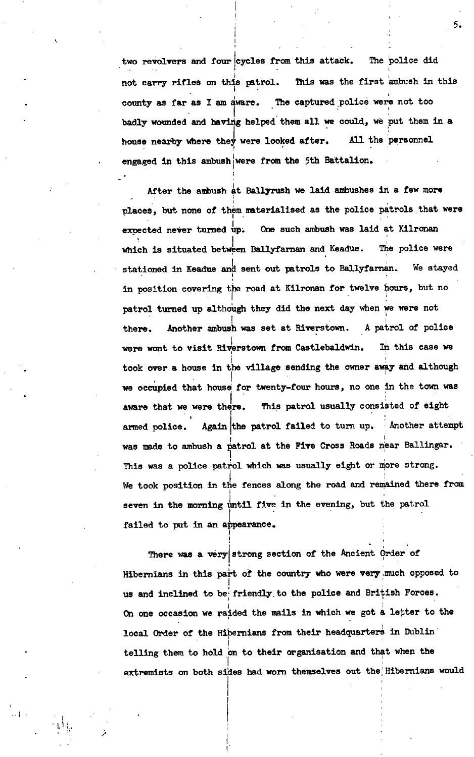**two revolvers and four cycles from this attack. The police did not carry rifles on this patrol. This was the first ambush in this county as far as <sup>I</sup> am aware. The captured police were not too badly wounded and having helped them all we could, we put them in a house nearby where they were looked after. All the personnel engaged in this ambush were from the 5th Battalion.**

**After the ambush At Ballyrush we laid ambushes in a few more places, but none of them materialised as the police patrols that were expected never turned up. One such ambush was laid at Kilronan which is situated between Ballyfarnan and Keadue. The police were stationed hi Keadue and sent out patrols to Ballyfarnan. We stayed in position covering the road at Kilronan for twelve hours, but no patrol tuned up although they did the next day when we were not there. Another ambush was set at Riverstown. A patrol of police were wont to visit Riverstown from Castlebaldwin. In this case we took over <sup>a</sup> house in the village sending the owner away and although we occupied that house for twenty-four hours, no one in the town was aware that we were there. This patrol usually consisted of eight armed police. Again the patrol failed to turn up. Another attempt was made to ambush a patrol at the Five Cross Roads near Ballingar. This was a police patrol which was usually eight or more strong. We took position in the fences along the road and remained there from seven hi the morning until five hi the evening, but the patrol failed to put hi an a1pearance.**

**There was a very strong section of the Ancient Order of Hibernians in this part of the country who were very much opposed to us and inclined to be friendly to the police and British Forces. On one occasion we r4ded the mails in which we got letter to the local Order of the Hibernians from their headquarters in Dublin telling them to hold on to their organisation and that when the extremists on both sides had won themselves out the Hibernians would**

 $\left\{ \left\vert 1\right\rangle \right\}$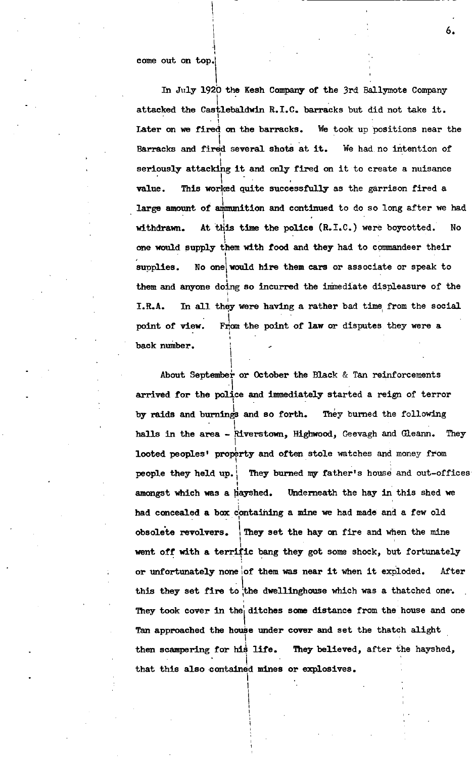**In July 192b the Kesh Company of the 3rd Ballymote Company attacked the Castlebaldwin R.I.C. barracks but did not take it. Later on we fired on the barracks. We took up positions near the Barracks and fired several shots at it. We had, no intention of seriously attacking it and only fired on it to create a nuisance value. This worked quite successfully as the garrison fired a large amount of ammunition and continued to do so long after we had withdrawn. At this time the police (R.I.C.) were boycotted. No one would supply them with food and they had to commandeer their supplies. No one would hire them cars or associate or speak to them and anyone doing so incurred the immediate displeasure of the I.R.A. In an they were having a rather bad tine from the social point of view. From the point of law or disputes they were a back number.**

**About September or October the Black & Tan reinforcements arrived for the police and immediately started a reign of terror by raids and burnings and so forth. The burned the following halls in the area - Riverstown, Highwood, Geevagh and Gleann. They looted peoples' property and often stole watches and money from people they held up. They burned my father's house and out-offices amongst which was a hayshed. Underneath the hay in this shed we had concealed <sup>a</sup> box containing <sup>a</sup> mine we had made an <sup>a</sup> few old obsolete revolvers. They set the hay on fire and when the mine went off with a terrific bang they got some shock, but fortunately or unfortunately none of them was near it when it exploded. After this they set fire to the dwellinghouse which was a thatched one. They took cover in the ditches some distance from the house and one Tan approached the house under cover and set the thatch alight then scampering for his life. They believed, after the hayshed, that this also contained mines or explosives.**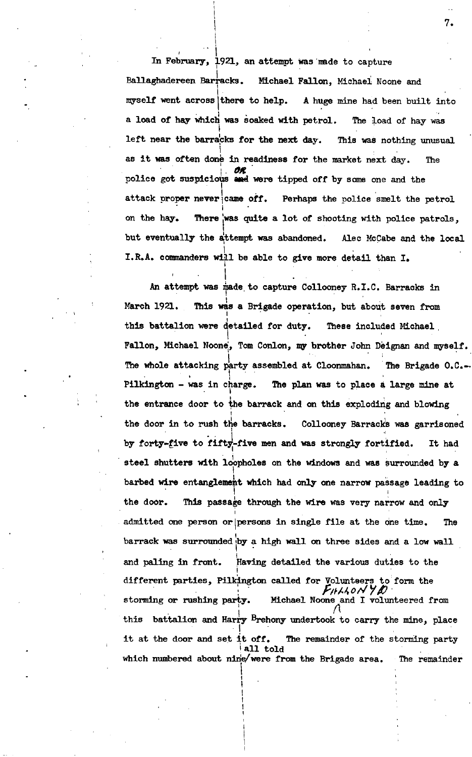**In February, 1921, an attempt was made to capture Ballaghadereen Barracks. Michael Fallon, Michael Noone and myself** went across there **to help. A huge mine had been built into a load of hay which was Soaked with petrol. The load of hay was left near the barracks for the next day. This was nothing unusual as it was often done in readiness for the market next day. The police got suspicious or were tipped off by some one and the attack proper never came off. Perhaps the police smelt the petrol on** the hay. **was quite <sup>a</sup> lot of shooting with police patrols, but eventually the attempt was abandoned. Alec McCabe and the local I.R.A. commanders will be able to give more detail than I.**

**An attempt was made to capture Collooney R.I.C. Barracks in March 1921. This was a Brigade operation, but about seven from this battalion were detailed for duty. These included Michael, Fallon, Michael Noon, Tom Conlon, my brother John Deignan and myself. The whole attacking party assembled at Cloonmahan. The Brigade 0.C.-. Pilkington - was in charge. The plan was to place <sup>a</sup> large mine at the entrance door to the barrack and on this exploding and blowing the door in to rush the barracks. Collooney Barracks was garrisoned by forty-tin to fifty-five men and was strongly fortified. It had steel shutters with loopholes on the windows and was surrounded by a barbed wire entanglement which had only one narrow passage leading to the door. This passage through the wire was very narrow and only admitted one person or persons in single file at the one time. The barrack was surrounde by a high wail on three sides and a low wall and paling in front. Having detailed the various duties to the different parties, Pilkington called for Volunteers to form the**  $\frac{1}{2}$  **or rushing**  $\frac{1}{2}$ **Falloyd and I volunteered from this battalion and Harry Brehony undertook to carry the mine, place it at the door and set it off. The remainder of the storming party which numbered about nine were from the Brigade area. The remainderall told**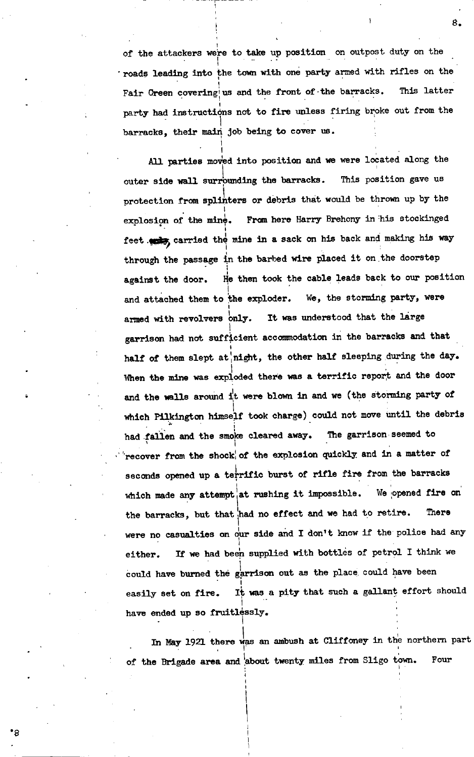**of the attackers were to take up position on outpost duty on the roads leading into the town with one party armed with rifles on the Fair Green covering us and the front of the barracks. This latter party had instructions not to Lire unless firing broke out from the barracks, their main job being to cover us.**

**All parties moved into position and we were located along the outer side wall surrounding the barracks. This position gave us protection from splinters or debris that would be thrown up by the explosion of the mine. Fran here Harry Brehony in his stockinged feet carried the mine in a sack on his back aria making his way through the passage in the barbed wire placed it on the doorstep against the door. He then took the cable leads back to our position and attached them to the exploder. We, the storming party, were armed with revolvers only. It was understood that the large garrison had not sufficient accommodation in the barracks and that half of them slept at night, the other half sleeping during the day. When the mine was exploded there was a terrific report and the door and the wails around it were blown in and we (the Storming party of which Pilkington himself took charge) could not move until the debris had fallen and the smoke cleared away. The garrison seemed to recover from the shock of the explosion quickly and in a matter of seconds opened up a terrific burst of rifle fire from the barracks which made any attempt at rushing it impossible. We opened fire on the barracks, but that had no effect and we had to retire. There were no casualties on 4ir side and <sup>I</sup> don't know if the police had any either. If we had been supplied with bottles of petrol I think we could have burned the garrison out as the place, could have been easily set on fire. It was a pity that such a gallant effort should have ended up so fruitlessly.**

**In May 1921 there was an ambush at Cliffoney in the northern part of the Brigade area and about twenty miles from Sligo town. Four**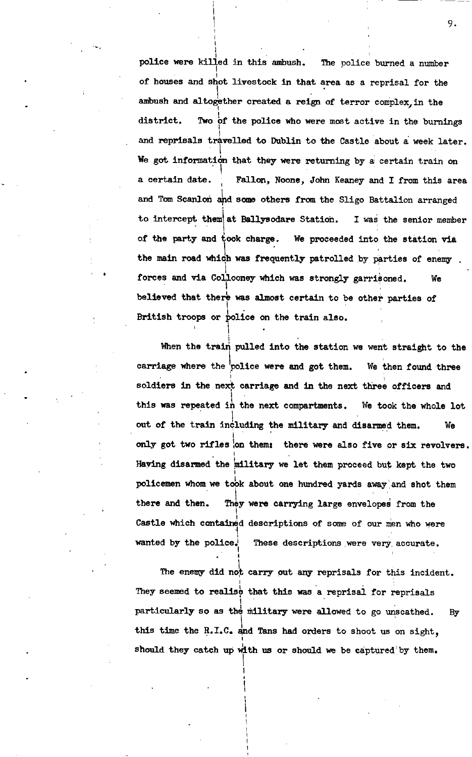**police were killed in this ambush. The police burned a number of houses and shot livestock in that area as a reprisal for the ambush and altogether created <sup>a</sup> reign of terror complex, in the district. Two bf the police who were most active in the burnings and reprisals travelled to Dublin to the Castle about a week later. We got information that they were returning by a certain train on a certain date. Fallon, Noone, John Keaney and I from this area and Tom Scanlon and some others from the Sligo Battalion arranged to intercept them at Ballysodare Station. I was the senior member of the party and took charge. We proceeded into the station via the main road which was frequently patrolled by parties of enemy forces and via which was strongly garrisoned. We Col1looney believed that was almost certain to be other parties of British troops or police on the train also.**

**When the train pulled into the station we went straight to the carriage where the police were and got them. We then found three soldiers in the next carriage and in the next three officers and this was repeated in the next compartments. We took the whole lot out of the train including the military and disarmed them. We only got two rifles on them: there were also five or six revolvers. Having disarmed the military we let them proceed but kept the two policemen whomwe to6k about one hundred yards away and shot them there and then. They were carrying large enveloped from the Castle which contained descriptions of some of our men who were wanted by the police. These descriptions were very accurate.**

**The enemy did no carry out any reprisals for this incident. They seemed to realise that this was a reprisal for reprisals particularly so as the military were allowed to go unscathed. By this time the R.T.C. and Tans had orders to shoot us on sight, should they catch up with us or should we be captured by them.**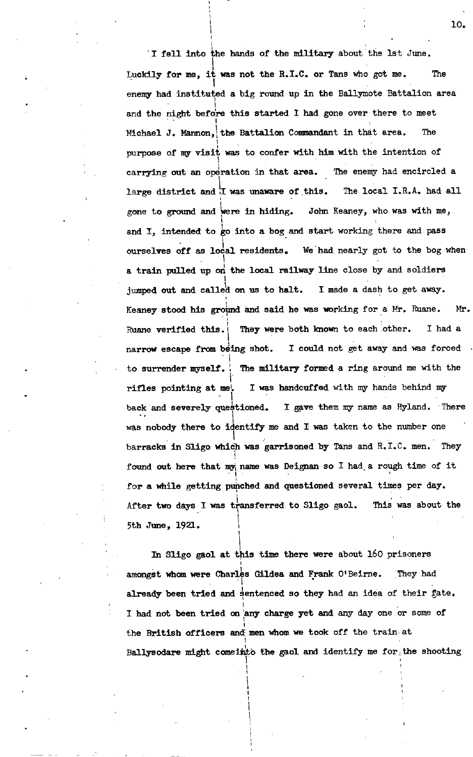**I fell into the hands of the military about the 1st June. Luckily for me, was not the R.I.C. or Tans who got me. The enemy had instituted a big round up in the Ballymote Battalion area and the night before this started I had gone over there to meet Michael J. Mannon, the Battalion Commandant in that area. The purpose of my visit was to confer with him with the intention of carrying out an operation in that area. The enemy had encircled a large district and I was unaware of this. The local I.R.A. had all gone to ground and ere in hiding. John Keaney, who was with me, and I, intended to go into a bog and start working there and pass ourselves off as local residents. We had nearly got to the bog when a train pulled up or the local railway line close by and soldiers jumped out and calle1d on us to halt. I made a dash to get away. Keaney stood his ground and said he was working for <sup>a</sup> Mr. Ruane. Mr. Ruane verified this. They were both known to each other. I had a narrow escape from being shot. I could not get away and was forced to surrender myself. The military formed a ring around me with the rifles pointing at me. I was handcuffed with mV hands behind my back and severely questioned. I gave them my name as Hyland. There was nobody there to identify me and I was taken to the number one barracks in Sligo which was garrisoned by Tans and R.I.C. men. They found out here that name was Deignan so I had a rough time of it for a while getting punched and questioned several tines per day. After two days I was transferred to Sligo gaol. This was about the 5th June, 1921.**

**In Sligo gaol at this time there were about 160 prisoners amongst whomwere Charles Gildea and Frank O'Beirne. They had already been tried and sentenced so they had an idea of their fate. I had not been tried on any charge yet and any day one or some of the British officers and men whomwe took off the train at Ballysodare might comeinto the gaol and identify me for the shooting**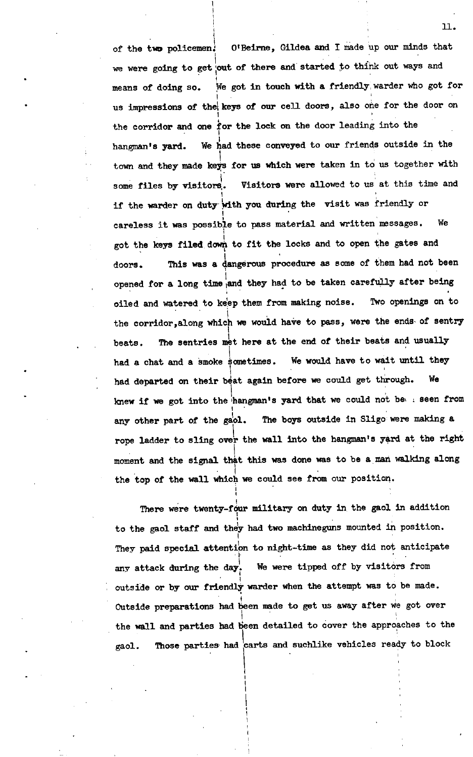**of the two policemen. O'Beirne, Gildea and I made up our minds that we were going to get out of there and started to think out ways and means of doing so. We got in touch with a friendly warder who got for us impressions of the keys of our cell doors, also the for the door on the corridor and one for the lock on the door leading into the hangman's yard. We had these conveyed to our friends outside in the town and they made keys for us which were taken in to us together with some files by visitor. Visitors were allowed to us at this time and if the warder on duty with you during the visit was friendly or careless it was possible to pass material and written messages. We got the keys filed down to fit the locks and to open the gates and doors. This was a dangerous procedure as some of them had not been opened for a long time and they had to be taken carefully after being oiled and watered to keep them from making noise. Two openings on to the corridor, along which we would have to pass, were the ends of sentry beats. The sentries met here at the end of their beats and usually had a chat and a smoke Sometimes. We would have to wait until they had departed on their beat again before we could get through. We knew if we got into the hangman's yard that we could not be seen from any other part of the gaol. The boys outside in Sligo were making a rope ladder to sling over the wall into the hangman's yard at the right moment and the signal that this was done was to be <sup>a</sup> man walking along the top of the wall which we could see from our position.**

**There were twenty-four military on duty in. the gaol in addition to the gaol staff and they had two machineguns mounted in position.** They paid special attention to night-time as they did not anticipate **any attack during the day We were tipped off by visitors from outside or by our friendly warder when the attempt was to be made. Outside preparations had been made to get us away after we got over the wall and parties had Seen detailed to cover the approaches to the gaol. Those parties had carts and suchlike vehicles ready to block**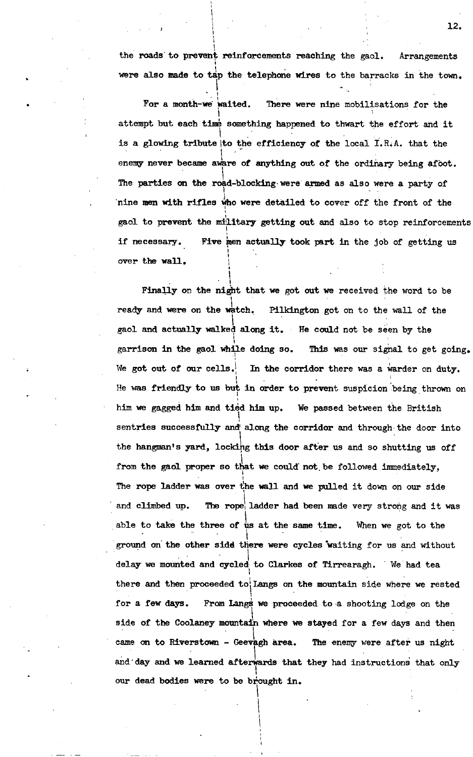**the roads to prevent reinforcements reaching the gaol. Arrangements were also made to t4p the telephone wires to the barracks in the town.**

**For a month-we waited. There were nine mobilisations for the attempt but each time something happened to thwart the effort and it is a glowing tribute to the efficiency of the local I.R.A. that the enemy never became aware of anything out of the ordinary being afoot. The parties on the road-blocking were armed as also were a party of nine men with rifles who were detailed to cover off the front of the gaol to prevent the military getting out and also to stop reinforcements if necessary. Five men actually took part in the job of getting us over the wall.**

**Finally on the night that we got out we received the word to be ready and were on the watch. Pilkington got on to the wall of the gaol and actually walked along it. He could not be seen by the garrison in the gaol while doing so. This was our signal to get going. We got out of our ceils. In the corridor there was <sup>a</sup> warder on duty. He was friendly to us but in order to prevent suspicion being thrown on him we gagged him and tied him up. We passed between the British sentries successfully and along the corridor and through the door into the hangman's yard, locking this door after us and so shutting us off from the gaol proper so that we could not be followed immediately, The rope ladder was over 1he wall and we pulled it down on our side and climbed up. The rope ladder had been made very strong and it was able to take the three of us at the same time. When we got to the ground on the other side there were cycles waiting for us and without delay we mounted and cycled to Clarkes of Tirrearagh. We had tea there and then proceeded to Lange on the mountain side where we rested for a few days. From Langs we proceeded to a shooting lodge on the side of the Coolaney mountain where we stayed for a few days and then came on to Riverstown - Geevagh area. The enemy were after us night and day and we learned afterwards that they had instructions that only our dead bodies were to be brought in.**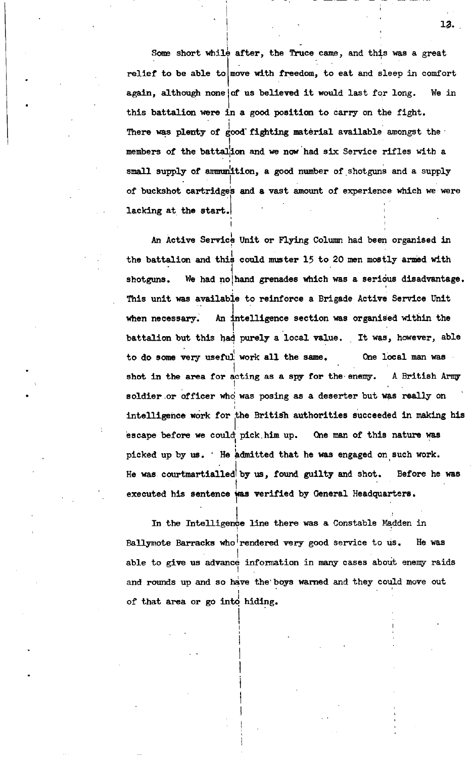**Some short while after, the Truce came, and this was a great relief to be able to move with freedom, to eat and sleep in comfort again, although none us believed it would last for long. We in of this battalion were in a good position to carry on the fight. There was plenty of fighting material available amongst the members of the battalion and we now had six Service rifles with a small supply of ammunition, a good number of shotguns and a supply of buckshot cartridges and a vast amount of experience which we were lacking at the start.**

**An Active Service Unit or Flying Column had been organised in the battalion and this could muster 15 to 20 men mostly armed with shotguns. We had no hand grenades which was a serious disadvantage. This unit was available to reinforce a Brigade Active Service Unit when necessary. An intelligence section was organised within the battalion but this had purely a local value. It was, however, able to do some very useful work an the same. One local man was shot in the area for acting as a spy for the enemy. A British Army soldier or officer who was posing as a deserter but was really on intelligence work for the British authorities succeeded in making his escape before we could pick him up. One man of this nature was picked up by us. He admitted that he was engaged on such work. He was courtmartialled by us, found guilty and shot. Before he was executed his sentence wasverified by General Headquarters.**

**In the Intelligence Line there was a Constable Madden in Ballymote Barracks who rendered very good service to us. He was able to give us advance information in many cases about enemy raids and rounds up and so have the boys warned and they could move out of that area or go into hiding.**